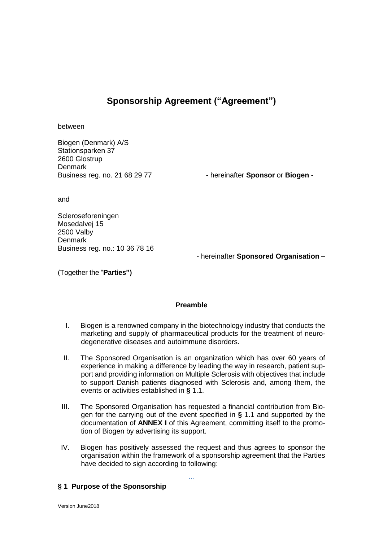# **Sponsorship Agreement ("Agreement")**

between

Biogen (Denmark) A/S Stationsparken 37 2600 Glostrup Denmark<br>Business reg. no. 21 68 29 77

- hereinafter **Sponsor** or **Biogen** -

and

Scleroseforeningen Mosedalvej 15 2500 Valby **Denmark** Business reg. no.: 10 36 78 16

*-* hereinafter **Sponsored Organisation** *–*

(Together the "**Parties")**

#### **Preamble**

- I. Biogen is a renowned company in the biotechnology industry that conducts the marketing and supply of pharmaceutical products for the treatment of neurodegenerative diseases and autoimmune disorders.
- II. The Sponsored Organisation is an organization which has over 60 years of experience in making a difference by leading the way in research, patient support and providing information on Multiple Sclerosis with objectives that include to support Danish patients diagnosed with Sclerosis and, among them, the events or activities established in **§** 1.1.
- III. The Sponsored Organisation has requested a financial contribution from Biogen for the carrying out of the event specified in **§** 1.1 and supported by the documentation of **ANNEX I** of this Agreement, committing itself to the promotion of Biogen by advertising its support.
- IV. Biogen has positively assessed the request and thus agrees to sponsor the organisation within the framework of a sponsorship agreement that the Parties have decided to sign according to following:

...

# **§ 1 Purpose of the Sponsorship**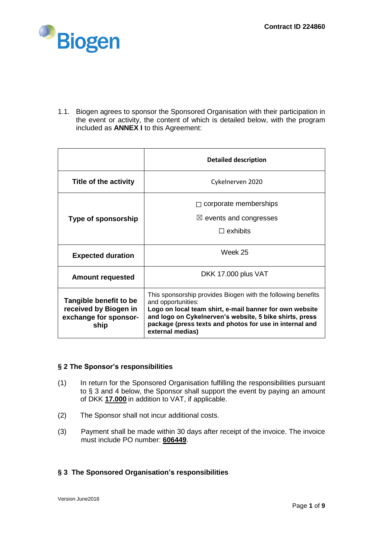

1.1. Biogen agrees to sponsor the Sponsored Organisation with their participation in the event or activity, the content of which is detailed below, with the program included as **ANNEX I** to this Agreement:

|                                                                                  | <b>Detailed description</b>                                                                                                                                                                                                                                                             |
|----------------------------------------------------------------------------------|-----------------------------------------------------------------------------------------------------------------------------------------------------------------------------------------------------------------------------------------------------------------------------------------|
| Title of the activity                                                            | Cykelnerven 2020                                                                                                                                                                                                                                                                        |
|                                                                                  | corporate memberships                                                                                                                                                                                                                                                                   |
| Type of sponsorship                                                              | $\boxtimes$ events and congresses                                                                                                                                                                                                                                                       |
|                                                                                  | $\Box$ exhibits                                                                                                                                                                                                                                                                         |
| <b>Expected duration</b>                                                         | Week 25                                                                                                                                                                                                                                                                                 |
| <b>Amount requested</b>                                                          | DKK 17.000 plus VAT                                                                                                                                                                                                                                                                     |
| Tangible benefit to be<br>received by Biogen in<br>exchange for sponsor-<br>ship | This sponsorship provides Biogen with the following benefits<br>and opportunities:<br>Logo on local team shirt, e-mail banner for own website<br>and logo on Cykelnerven's website, 5 bike shirts, press<br>package (press texts and photos for use in internal and<br>external medias) |

# **§ 2 The Sponsor's responsibilities**

- (1) In return for the Sponsored Organisation fulfilling the responsibilities pursuant to § 3 and 4 below, the Sponsor shall support the event by paying an amount of DKK **17.000** in addition to VAT, if applicable.
- (2) The Sponsor shall not incur additional costs.
- (3) Payment shall be made within 30 days after receipt of the invoice. The invoice must include PO number: **606449**.

# **§ 3 The Sponsored Organisation's responsibilities**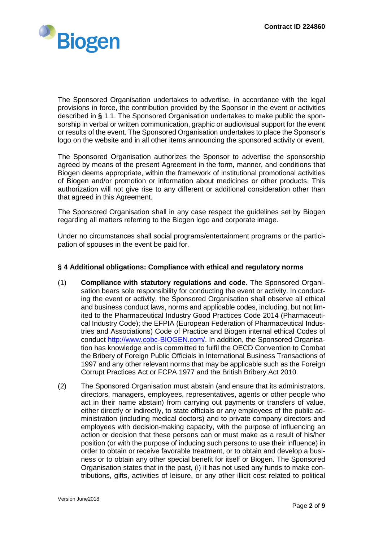

The Sponsored Organisation undertakes to advertise, in accordance with the legal provisions in force, the contribution provided by the Sponsor in the event or activities described in **§** 1.1. The Sponsored Organisation undertakes to make public the sponsorship in verbal or written communication, graphic or audiovisual support for the event or results of the event. The Sponsored Organisation undertakes to place the Sponsor's logo on the website and in all other items announcing the sponsored activity or event.

The Sponsored Organisation authorizes the Sponsor to advertise the sponsorship agreed by means of the present Agreement in the form, manner, and conditions that Biogen deems appropriate, within the framework of institutional promotional activities of Biogen and/or promotion or information about medicines or other products. This authorization will not give rise to any different or additional consideration other than that agreed in this Agreement.

The Sponsored Organisation shall in any case respect the guidelines set by Biogen regarding all matters referring to the Biogen logo and corporate image.

Under no circumstances shall social programs/entertainment programs or the participation of spouses in the event be paid for.

# **§ 4 Additional obligations: Compliance with ethical and regulatory norms**

- (1) **Compliance with statutory regulations and code**. The Sponsored Organisation bears sole responsibility for conducting the event or activity. In conducting the event or activity, the Sponsored Organisation shall observe all ethical and business conduct laws, norms and applicable codes, including, but not limited to the Pharmaceutical Industry Good Practices Code 2014 (Pharmaceutical Industry Code); the EFPIA (European Federation of Pharmaceutical Industries and Associations) Code of Practice and Biogen internal ethical Codes of conduct [http://www.cobc-BIOGEN.com/.](http://www.cobc-biogen.com/) In addition, the Sponsored Organisation has knowledge and is committed to fulfil the OECD Convention to Combat the Bribery of Foreign Public Officials in International Business Transactions of 1997 and any other relevant norms that may be applicable such as the Foreign Corrupt Practices Act or FCPA 1977 and the British Bribery Act 2010.
- (2) The Sponsored Organisation must abstain (and ensure that its administrators, directors, managers, employees, representatives, agents or other people who act in their name abstain) from carrying out payments or transfers of value, either directly or indirectly, to state officials or any employees of the public administration (including medical doctors) and to private company directors and employees with decision-making capacity, with the purpose of influencing an action or decision that these persons can or must make as a result of his/her position (or with the purpose of inducing such persons to use their influence) in order to obtain or receive favorable treatment, or to obtain and develop a business or to obtain any other special benefit for itself or Biogen. The Sponsored Organisation states that in the past, (i) it has not used any funds to make contributions, gifts, activities of leisure, or any other illicit cost related to political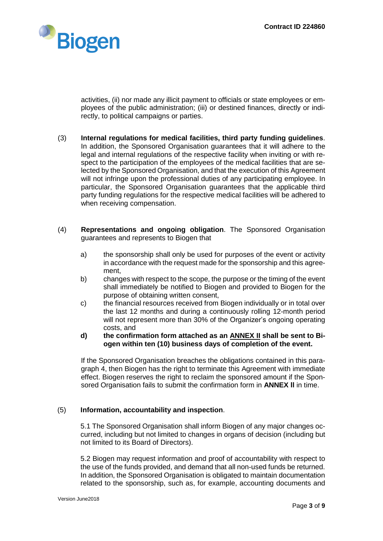

activities, (ii) nor made any illicit payment to officials or state employees or employees of the public administration; (iii) or destined finances, directly or indirectly, to political campaigns or parties.

- (3) **Internal regulations for medical facilities, third party funding guidelines**. In addition, the Sponsored Organisation guarantees that it will adhere to the legal and internal regulations of the respective facility when inviting or with respect to the participation of the employees of the medical facilities that are selected by the Sponsored Organisation, and that the execution of this Agreement will not infringe upon the professional duties of any participating employee. In particular, the Sponsored Organisation guarantees that the applicable third party funding regulations for the respective medical facilities will be adhered to when receiving compensation.
- (4) **Representations and ongoing obligation**. The Sponsored Organisation guarantees and represents to Biogen that
	- a) the sponsorship shall only be used for purposes of the event or activity in accordance with the request made for the sponsorship and this agreement,
	- b) changes with respect to the scope, the purpose or the timing of the event shall immediately be notified to Biogen and provided to Biogen for the purpose of obtaining written consent,
	- c) the financial resources received from Biogen individually or in total over the last 12 months and during a continuously rolling 12-month period will not represent more than 30% of the Organizer's ongoing operating costs, and
	- **d) the confirmation form attached as an ANNEX II shall be sent to Biogen within ten (10) business days of completion of the event.**

If the Sponsored Organisation breaches the obligations contained in this paragraph 4, then Biogen has the right to terminate this Agreement with immediate effect. Biogen reserves the right to reclaim the sponsored amount if the Sponsored Organisation fails to submit the confirmation form in **ANNEX ll** in time.

# (5) **Information, accountability and inspection**.

5.1 The Sponsored Organisation shall inform Biogen of any major changes occurred, including but not limited to changes in organs of decision (including but not limited to its Board of Directors).

5.2 Biogen may request information and proof of accountability with respect to the use of the funds provided, and demand that all non-used funds be returned. In addition, the Sponsored Organisation is obligated to maintain documentation related to the sponsorship, such as, for example, accounting documents and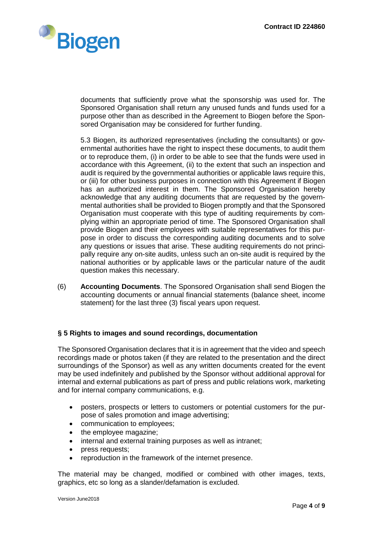

documents that sufficiently prove what the sponsorship was used for. The Sponsored Organisation shall return any unused funds and funds used for a purpose other than as described in the Agreement to Biogen before the Sponsored Organisation may be considered for further funding.

5.3 Biogen, its authorized representatives (including the consultants) or governmental authorities have the right to inspect these documents, to audit them or to reproduce them, (i) in order to be able to see that the funds were used in accordance with this Agreement, (ii) to the extent that such an inspection and audit is required by the governmental authorities or applicable laws require this, or (iii) for other business purposes in connection with this Agreement if Biogen has an authorized interest in them. The Sponsored Organisation hereby acknowledge that any auditing documents that are requested by the governmental authorities shall be provided to Biogen promptly and that the Sponsored Organisation must cooperate with this type of auditing requirements by complying within an appropriate period of time. The Sponsored Organisation shall provide Biogen and their employees with suitable representatives for this purpose in order to discuss the corresponding auditing documents and to solve any questions or issues that arise. These auditing requirements do not principally require any on-site audits, unless such an on-site audit is required by the national authorities or by applicable laws or the particular nature of the audit question makes this necessary.

(6) **Accounting Documents**. The Sponsored Organisation shall send Biogen the accounting documents or annual financial statements (balance sheet, income statement) for the last three (3) fiscal years upon request.

# **§ 5 Rights to images and sound recordings, documentation**

The Sponsored Organisation declares that it is in agreement that the video and speech recordings made or photos taken (if they are related to the presentation and the direct surroundings of the Sponsor) as well as any written documents created for the event may be used indefinitely and published by the Sponsor without additional approval for internal and external publications as part of press and public relations work, marketing and for internal company communications, e.g.

- posters, prospects or letters to customers or potential customers for the purpose of sales promotion and image advertising;
- communication to employees;
- the employee magazine;
- internal and external training purposes as well as intranet;
- press requests;
- reproduction in the framework of the internet presence.

The material may be changed, modified or combined with other images, texts, graphics, etc so long as a slander/defamation is excluded.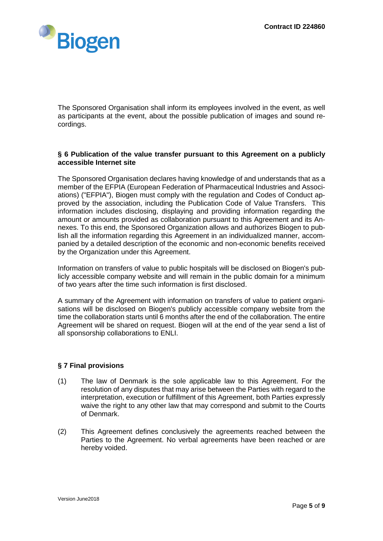

The Sponsored Organisation shall inform its employees involved in the event, as well as participants at the event, about the possible publication of images and sound recordings.

#### **§ 6 Publication of the value transfer pursuant to this Agreement on a publicly accessible Internet site**

The Sponsored Organisation declares having knowledge of and understands that as a member of the EFPIA (European Federation of Pharmaceutical Industries and Associations) ("EFPIA"), Biogen must comply with the regulation and Codes of Conduct approved by the association, including the Publication Code of Value Transfers. This information includes disclosing, displaying and providing information regarding the amount or amounts provided as collaboration pursuant to this Agreement and its Annexes. To this end, the Sponsored Organization allows and authorizes Biogen to publish all the information regarding this Agreement in an individualized manner, accompanied by a detailed description of the economic and non-economic benefits received by the Organization under this Agreement.

Information on transfers of value to public hospitals will be disclosed on Biogen's publicly accessible company website and will remain in the public domain for a minimum of two years after the time such information is first disclosed.

A summary of the Agreement with information on transfers of value to patient organisations will be disclosed on Biogen's publicly accessible company website from the time the collaboration starts until 6 months after the end of the collaboration. The entire Agreement will be shared on request. Biogen will at the end of the year send a list of all sponsorship collaborations to ENLI.

# **§ 7 Final provisions**

- (1) The law of Denmark is the sole applicable law to this Agreement. For the resolution of any disputes that may arise between the Parties with regard to the interpretation, execution or fulfillment of this Agreement, both Parties expressly waive the right to any other law that may correspond and submit to the Courts of Denmark.
- (2) This Agreement defines conclusively the agreements reached between the Parties to the Agreement. No verbal agreements have been reached or are hereby voided.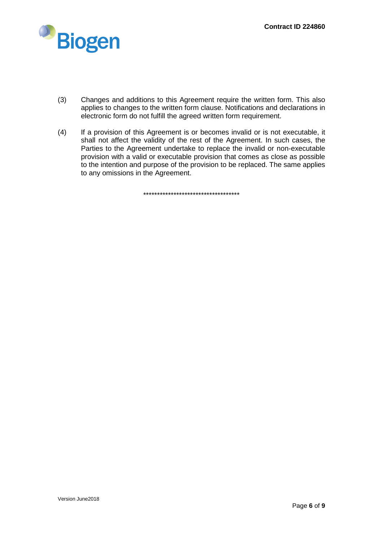

- (3) Changes and additions to this Agreement require the written form. This also applies to changes to the written form clause. Notifications and declarations in electronic form do not fulfill the agreed written form requirement.
- (4) If a provision of this Agreement is or becomes invalid or is not executable, it shall not affect the validity of the rest of the Agreement. In such cases, the Parties to the Agreement undertake to replace the invalid or non-executable provision with a valid or executable provision that comes as close as possible to the intention and purpose of the provision to be replaced. The same applies to any omissions in the Agreement.

\*\*\*\*\*\*\*\*\*\*\*\*\*\*\*\*\*\*\*\*\*\*\*\*\*\*\*\*\*\*\*\*\*\*\*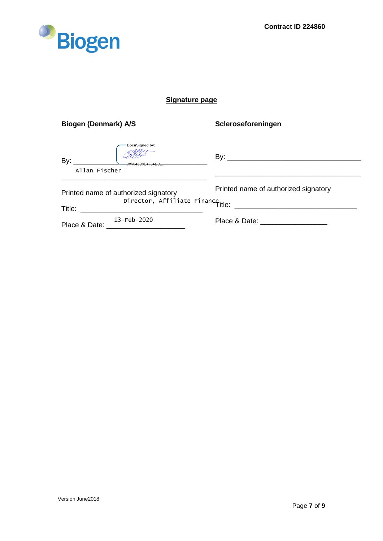

# **Signature page**

| <b>Biogen (Denmark) A/S</b>            | Scleroseforeningen                   |
|----------------------------------------|--------------------------------------|
| DocuSigned by:<br>By:<br>Allan Fischer |                                      |
|                                        |                                      |
| Printed name of authorized signatory   | Printed name of authorized signatory |
| Director, Affiliate Finance.<br>Title: |                                      |
| $13 - Feb - 2020$<br>Place & Date:     | Place & Date: ___________________    |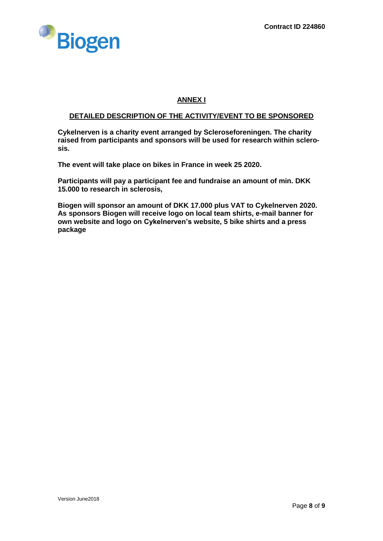

# **ANNEX I**

#### **DETAILED DESCRIPTION OF THE ACTIVITY/EVENT TO BE SPONSORED**

**Cykelnerven is a charity event arranged by Scleroseforeningen. The charity raised from participants and sponsors will be used for research within sclerosis.** 

**The event will take place on bikes in France in week 25 2020.**

**Participants will pay a participant fee and fundraise an amount of min. DKK 15.000 to research in sclerosis,**

**Biogen will sponsor an amount of DKK 17.000 plus VAT to Cykelnerven 2020. As sponsors Biogen will receive logo on local team shirts, e-mail banner for own website and logo on Cykelnerven's website, 5 bike shirts and a press package**